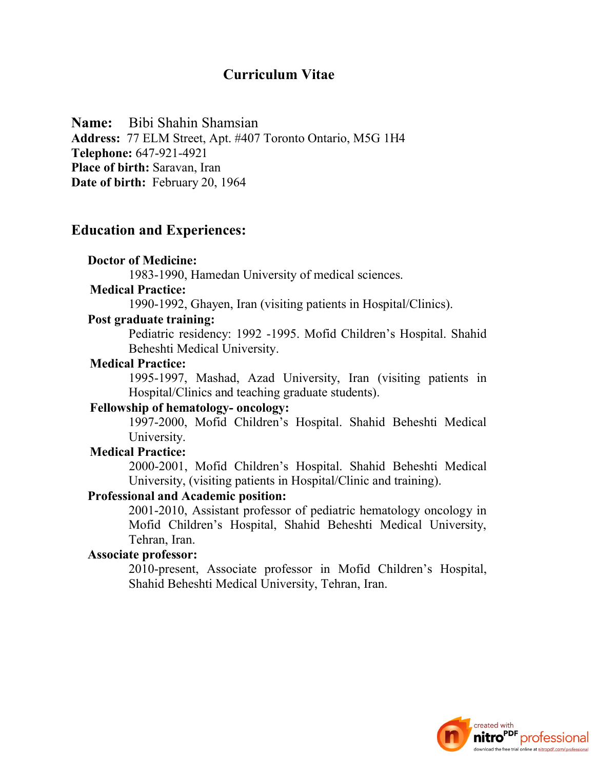## **Curriculum Vitae**

**Name:** Bibi Shahin Shamsian

**Address:** 77 ELM Street, Apt. #407 Toronto Ontario, M5G 1H4 **Telephone:** 647-921-4921 **Place of birth:** Saravan, Iran **Date of birth:** February 20, 1964

## **Education and Experiences:**

#### **Doctor of Medicine:**

1983-1990, Hamedan University of medical sciences.

### **Medical Practice:**

1990-1992, Ghayen, Iran (visiting patients in Hospital/Clinics).

#### **Post graduate training:**

Pediatric residency: 1992 -1995. Mofid Children's Hospital. Shahid Beheshti Medical University.

### **Medical Practice:**

1995-1997, Mashad, Azad University, Iran (visiting patients in Hospital/Clinics and teaching graduate students).

### **Fellowship of hematology- oncology:**

1997-2000, Mofid Children's Hospital. Shahid Beheshti Medical University.

## **Medical Practice:**

2000-2001, Mofid Children's Hospital. Shahid Beheshti Medical University, (visiting patients in Hospital/Clinic and training).

## **Professional and Academic position:**

2001-2010, Assistant professor of pediatric hematology oncology in Mofid Children's Hospital, Shahid Beheshti Medical University, Tehran, Iran.

## **Associate professor:**

2010-present, Associate professor in Mofid Children's Hospital, Shahid Beheshti Medical University, Tehran, Iran.

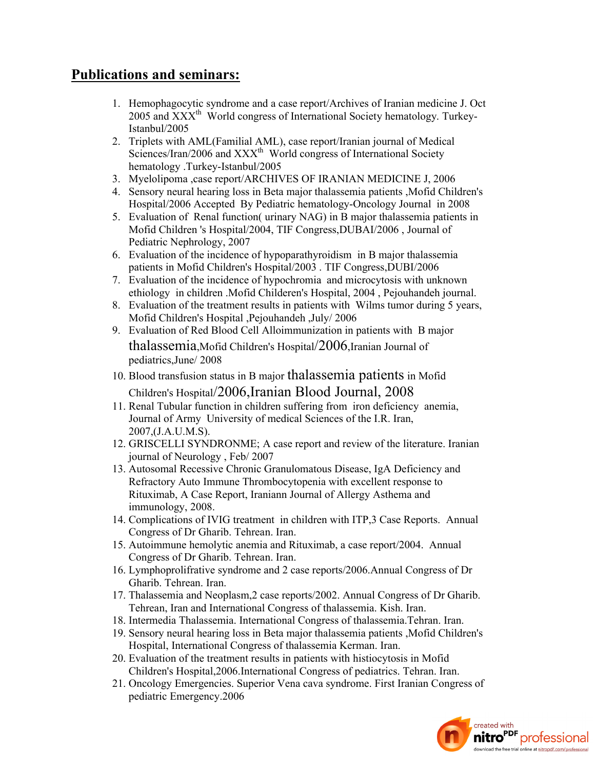# **Publications and seminars:**

- 1. Hemophagocytic syndrome and a case report/Archives of Iranian medicine J. Oct 2005 and  $XXX<sup>th</sup>$  World congress of International Society hematology. Turkey-Istanbul/2005
- 2. Triplets with AML(Familial AML), case report/Iranian journal of Medical Sciences/Iran/2006 and XXX<sup>th</sup> World congress of International Society hematology .Turkey-Istanbul/2005
- 3. Myelolipoma ,case report/ARCHIVES OF IRANIAN MEDICINE J, 2006
- 4. Sensory neural hearing loss in Beta major thalassemia patients ,Mofid Children's Hospital/2006 Accepted By Pediatric hematology-Oncology Journal in 2008
- 5. Evaluation of Renal function( urinary NAG) in B major thalassemia patients in Mofid Children 's Hospital/2004, TIF Congress,DUBAI/2006 , Journal of Pediatric Nephrology, 2007
- 6. Evaluation of the incidence of hypoparathyroidism in B major thalassemia patients in Mofid Children's Hospital/2003 . TIF Congress,DUBI/2006
- 7. Evaluation of the incidence of hypochromia and microcytosis with unknown ethiology in children .Mofid Childeren's Hospital, 2004 , Pejouhandeh journal.
- 8. Evaluation of the treatment results in patients with Wilms tumor during 5 years, Mofid Children's Hospital ,Pejouhandeh ,July/ 2006
- 9. Evaluation of Red Blood Cell Alloimmunization in patients with B major thalassemia,Mofid Children's Hospital/2006,Iranian Journal of pediatrics,June/ 2008
- 10. Blood transfusion status in B major thalassemia patients in Mofid Children's Hospital/2006,Iranian Blood Journal, 2008
- 11. Renal Tubular function in children suffering from iron deficiency anemia, Journal of Army University of medical Sciences of the I.R. Iran, 2007,(J.A.U.M.S).
- 12. GRISCELLI SYNDRONME; A case report and review of the literature. Iranian journal of Neurology , Feb/ 2007
- 13. Autosomal Recessive Chronic Granulomatous Disease, IgA Deficiency and Refractory Auto Immune Thrombocytopenia with excellent response to Rituximab, A Case Report, Iraniann Journal of Allergy Asthema and immunology, 2008.
- 14. Complications of IVIG treatment in children with ITP,3 Case Reports. Annual Congress of Dr Gharib. Tehrean. Iran.
- 15. Autoimmune hemolytic anemia and Rituximab, a case report/2004. Annual Congress of Dr Gharib. Tehrean. Iran.
- 16. Lymphoprolifrative syndrome and 2 case reports/2006.Annual Congress of Dr Gharib. Tehrean. Iran.
- 17. Thalassemia and Neoplasm,2 case reports/2002. Annual Congress of Dr Gharib. Tehrean, Iran and International Congress of thalassemia. Kish. Iran.
- 18. Intermedia Thalassemia. International Congress of thalassemia.Tehran. Iran.
- 19. Sensory neural hearing loss in Beta major thalassemia patients ,Mofid Children's Hospital, International Congress of thalassemia Kerman. Iran.
- 20. Evaluation of the treatment results in patients with histiocytosis in Mofid Children's Hospital,2006.International Congress of pediatrics. Tehran. Iran.
- 21. Oncology Emergencies. Superior Vena cava syndrome. First Iranian Congress of pediatric Emergency.2006